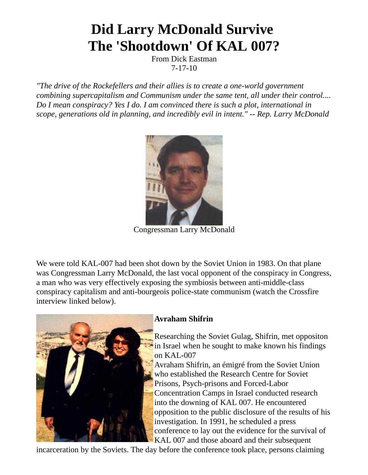# **Did Larry McDonald Survive The 'Shootdown' Of KAL 007?**

From Dick Eastman 7-17-10

*"The drive of the Rockefellers and their allies is to create a one-world government combining supercapitalism and Communism under the same tent, all under their control.... Do I mean conspiracy? Yes I do. I am convinced there is such a plot, international in scope, generations old in planning, and incredibly evil in intent." -- Rep. Larry McDonald*



Congressman Larry McDonald

We were told KAL-007 had been shot down by the Soviet Union in 1983. On that plane was Congressman Larry McDonald, the last vocal opponent of the conspiracy in Congress, a man who was very effectively exposing the symbiosis between anti-middle-class conspiracy capitalism and anti-bourgeois police-state communism (watch the Crossfire interview linked below).



## **Avraham Shifrin**

Researching the Soviet Gulag, Shifrin, met oppositon in Israel when he sought to make known his findings on KAL-007

Avraham Shifrin, an émigré from the Soviet Union who established the Research Centre for Soviet Prisons, Psych-prisons and Forced-Labor Concentration Camps in Israel conducted research into the downing of KAL 007. He encountered opposition to the public disclosure of the results of his investigation. In 1991, he scheduled a press conference to lay out the evidence for the survival of KAL 007 and those aboard and their subsequent

incarceration by the Soviets. The day before the conference took place, persons claiming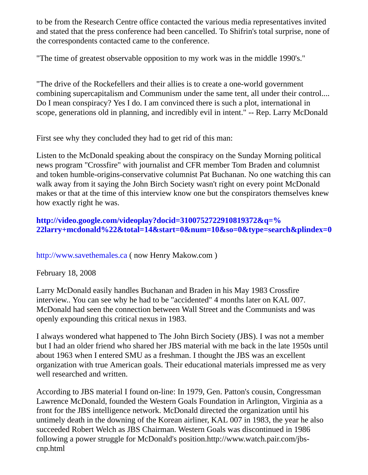to be from the Research Centre office contacted the various media representatives invited and stated that the press conference had been cancelled. To Shifrin's total surprise, none of the correspondents contacted came to the conference.

"The time of greatest observable opposition to my work was in the middle 1990's."

"The drive of the Rockefellers and their allies is to create a one-world government combining supercapitalism and Communism under the same tent, all under their control.... Do I mean conspiracy? Yes I do. I am convinced there is such a plot, international in scope, generations old in planning, and incredibly evil in intent." -- Rep. Larry McDonald

First see why they concluded they had to get rid of this man:

Listen to the McDonald speaking about the conspiracy on the Sunday Morning political news program "Crossfire" with journalist and CFR member Tom Braden and columnist and token humble-origins-conservative columnist Pat Buchanan. No one watching this can walk away from it saying the John Birch Society wasn't right on every point McDonald makes or that at the time of this interview know one but the conspirators themselves knew how exactly right he was.

# **http://video.google.com/videoplay?docid=3100752722910819372&q=% [22larry+mcdonald%22&total=14&start=0&num=10&so=0&type=search&plindex=0](http://video.google.com/videoplay?docid=3100752722910819372&q=%22larry+mcdonald%22&total=14&start=0&num=10&so=0&type=search&plindex=0)**

[http://www.savethemales.ca](http://www.savethemales.ca/) ( now Henry Makow.com )

February 18, 2008

Larry McDonald easily handles Buchanan and Braden in his May 1983 Crossfire interview.. You can see why he had to be "accidented" 4 months later on KAL 007. McDonald had seen the connection between Wall Street and the Communists and was openly expounding this critical nexus in 1983.

I always wondered what happened to The John Birch Society (JBS). I was not a member but I had an older friend who shared her JBS material with me back in the late 1950s until about 1963 when I entered SMU as a freshman. I thought the JBS was an excellent organization with true American goals. Their educational materials impressed me as very well researched and written.

According to JBS material I found on-line: In 1979, Gen. Patton's cousin, Congressman Lawrence McDonald, founded the Western Goals Foundation in Arlington, Virginia as a front for the JBS intelligence network. McDonald directed the organization until his untimely death in the downing of the Korean airliner, KAL 007 in 1983, the year he also succeeded Robert Welch as JBS Chairman. Western Goals was discontinued in 1986 following a power struggle for McDonald's position.http://www.watch.pair.com/jbscnp.html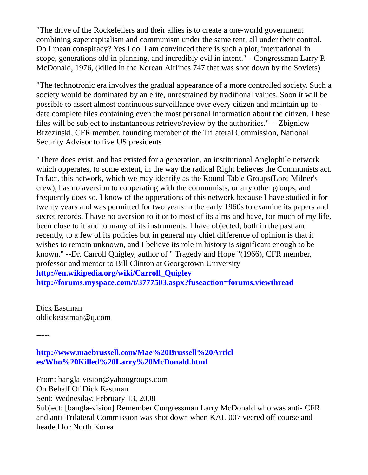"The drive of the Rockefellers and their allies is to create a one-world government combining supercapitalism and communism under the same tent, all under their control. Do I mean conspiracy? Yes I do. I am convinced there is such a plot, international in scope, generations old in planning, and incredibly evil in intent." --Congressman Larry P. McDonald, 1976, (killed in the Korean Airlines 747 that was shot down by the Soviets)

"The technotronic era involves the gradual appearance of a more controlled society. Such a society would be dominated by an elite, unrestrained by traditional values. Soon it will be possible to assert almost continuous surveillance over every citizen and maintain up-todate complete files containing even the most personal information about the citizen. These files will be subject to instantaneous retrieve/review by the authorities." -- Zbigniew Brzezinski, CFR member, founding member of the Trilateral Commission, National Security Advisor to five US presidents

"There does exist, and has existed for a generation, an institutional Anglophile network which opperates, to some extent, in the way the radical Right believes the Communists act. In fact, this network, which we may identify as the Round Table Groups(Lord Milner's crew), has no aversion to cooperating with the communists, or any other groups, and frequently does so. I know of the opperations of this network because I have studied it for twenty years and was permitted for two years in the early 1960s to examine its papers and secret records. I have no aversion to it or to most of its aims and have, for much of my life, been close to it and to many of its instruments. I have objected, both in the past and recently, to a few of its policies but in general my chief difference of opinion is that it wishes to remain unknown, and I believe its role in history is significant enough to be known." --Dr. Carroll Quigley, author of " Tragedy and Hope "(1966), CFR member, professor and mentor to Bill Clinton at Georgetown University **[http://en.wikipedia.org/wiki/Carroll\\_Quigley](http://en.wikipedia.org/wiki/Carroll_Quigley)**

**<http://forums.myspace.com/t/3777503.aspx?fuseaction=forums.viewthread>**

Dick Eastman oldickeastman@q.com

-----

**[http://www.maebrussell.com/Mae%20Brussell%20Articl](http://www.maebrussell.com/Mae%20Brussell%20Articles/Who%20Killed%20Larry%20McDonald.html) es/Who%20Killed%20Larry%20McDonald.html**

From: bangla-vision@yahoogroups.com

On Behalf Of Dick Eastman

Sent: Wednesday, February 13, 2008

Subject: [bangla-vision] Remember Congressman Larry McDonald who was anti- CFR and anti-Trilateral Commission was shot down when KAL 007 veered off course and headed for North Korea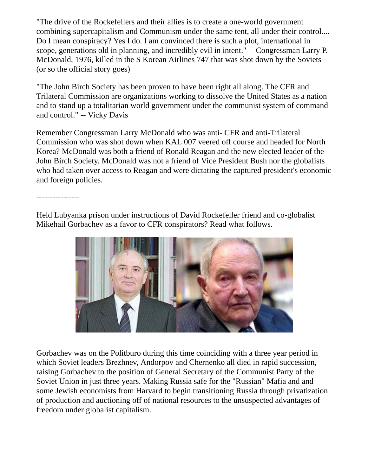"The drive of the Rockefellers and their allies is to create a one-world government combining supercapitalism and Communism under the same tent, all under their control.... Do I mean conspiracy? Yes I do. I am convinced there is such a plot, international in scope, generations old in planning, and incredibly evil in intent." -- Congressman Larry P. McDonald, 1976, killed in the S Korean Airlines 747 that was shot down by the Soviets (or so the official story goes)

"The John Birch Society has been proven to have been right all along. The CFR and Trilateral Commission are organizations working to dissolve the United States as a nation and to stand up a totalitarian world government under the communist system of command and control." -- Vicky Davis

Remember Congressman Larry McDonald who was anti- CFR and anti-Trilateral Commission who was shot down when KAL 007 veered off course and headed for North Korea? McDonald was both a friend of Ronald Reagan and the new elected leader of the John Birch Society. McDonald was not a friend of Vice President Bush nor the globalists who had taken over access to Reagan and were dictating the captured president's economic and foreign policies.

----------------

Held Lubyanka prison under instructions of David Rockefeller friend and co-globalist Mikehail Gorbachev as a favor to CFR conspirators? Read what follows.



Gorbachev was on the Politburo during this time coinciding with a three year period in which Soviet leaders Brezhnev, Andorpov and Chernenko all died in rapid succession, raising Gorbachev to the position of General Secretary of the Communist Party of the Soviet Union in just three years. Making Russia safe for the "Russian" Mafia and and some Jewish economists from Harvard to begin transitioning Russia through privatization of production and auctioning off of national resources to the unsuspected advantages of freedom under globalist capitalism.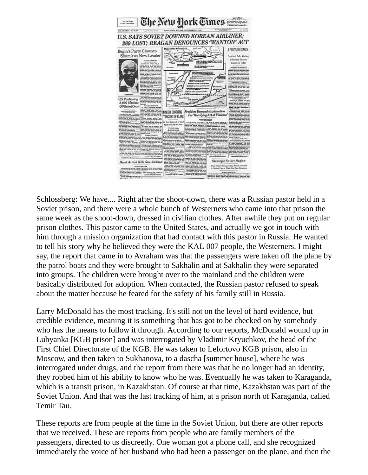

Schlossberg: We have.... Right after the shoot-down, there was a Russian pastor held in a Soviet prison, and there were a whole bunch of Westerners who came into that prison the same week as the shoot-down, dressed in civilian clothes. After awhile they put on regular prison clothes. This pastor came to the United States, and actually we got in touch with him through a mission organization that had contact with this pastor in Russia. He wanted to tell his story why he believed they were the KAL 007 people, the Westerners. I might say, the report that came in to Avraham was that the passengers were taken off the plane by the patrol boats and they were brought to Sakhalin and at Sakhalin they were separated into groups. The children were brought over to the mainland and the children were basically distributed for adoption. When contacted, the Russian pastor refused to speak about the matter because he feared for the safety of his family still in Russia.

Larry McDonald has the most tracking. It's still not on the level of hard evidence, but credible evidence, meaning it is something that has got to be checked on by somebody who has the means to follow it through. According to our reports, McDonald wound up in Lubyanka [KGB prison] and was interrogated by Vladimir Kryuchkov, the head of the First Chief Directorate of the KGB. He was taken to Lefortovo KGB prison, also in Moscow, and then taken to Sukhanova, to a dascha [summer house], where he was interrogated under drugs, and the report from there was that he no longer had an identity, they robbed him of his ability to know who he was. Eventually he was taken to Karaganda, which is a transit prison, in Kazakhstan. Of course at that time, Kazakhstan was part of the Soviet Union. And that was the last tracking of him, at a prison north of Karaganda, called Temir Tau.

These reports are from people at the time in the Soviet Union, but there are other reports that we received. These are reports from people who are family members of the passengers, directed to us discreetly. One woman got a phone call, and she recognized immediately the voice of her husband who had been a passenger on the plane, and then the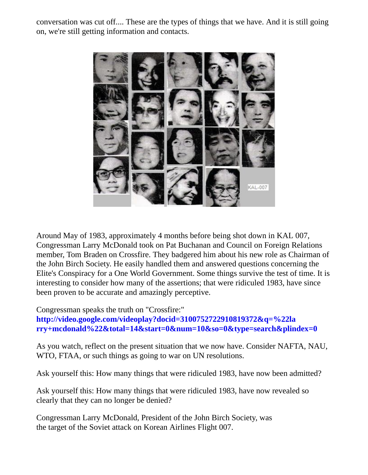conversation was cut off.... These are the types of things that we have. And it is still going on, we're still getting information and contacts.



Around May of 1983, approximately 4 months before being shot down in KAL 007, Congressman Larry McDonald took on Pat Buchanan and Council on Foreign Relations member, Tom Braden on Crossfire. They badgered him about his new role as Chairman of the John Birch Society. He easily handled them and answered questions concerning the Elite's Conspiracy for a One World Government. Some things survive the test of time. It is interesting to consider how many of the assertions; that were ridiculed 1983, have since been proven to be accurate and amazingly perceptive.

Congressman speaks the truth on "Crossfire:" **http://video.google.com/videoplay?docid=3100752722910819372&q=%22la [rry+mcdonald%22&total=14&start=0&num=10&so=0&type=search&plindex=0](http://video.google.com/videoplay?docid=3100752722910819372&q=%22larry+mcdonald%22&total=14&start=0&num=10&so=0&type=search&plindex=0)**

As you watch, reflect on the present situation that we now have. Consider NAFTA, NAU, WTO, FTAA, or such things as going to war on UN resolutions.

Ask yourself this: How many things that were ridiculed 1983, have now been admitted?

Ask yourself this: How many things that were ridiculed 1983, have now revealed so clearly that they can no longer be denied?

Congressman Larry McDonald, President of the John Birch Society, was the target of the Soviet attack on Korean Airlines Flight 007.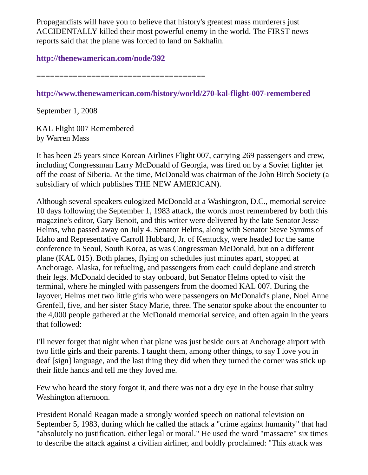Propagandists will have you to believe that history's greatest mass murderers just ACCIDENTALLY killed their most powerful enemy in the world. The FIRST news reports said that the plane was forced to land on Sakhalin.

#### **<http://thenewamerican.com/node/392>**

=====================================

## **<http://www.thenewamerican.com/history/world/270-kal-flight-007-remembered>**

September 1, 2008

KAL Flight 007 Remembered by Warren Mass

It has been 25 years since Korean Airlines Flight 007, carrying 269 passengers and crew, including Congressman Larry McDonald of Georgia, was fired on by a Soviet fighter jet off the coast of Siberia. At the time, McDonald was chairman of the John Birch Society (a subsidiary of which publishes THE NEW AMERICAN).

Although several speakers eulogized McDonald at a Washington, D.C., memorial service 10 days following the September 1, 1983 attack, the words most remembered by both this magazine's editor, Gary Benoit, and this writer were delivered by the late Senator Jesse Helms, who passed away on July 4. Senator Helms, along with Senator Steve Symms of Idaho and Representative Carroll Hubbard, Jr. of Kentucky, were headed for the same conference in Seoul, South Korea, as was Congressman McDonald, but on a different plane (KAL 015). Both planes, flying on schedules just minutes apart, stopped at Anchorage, Alaska, for refueling, and passengers from each could deplane and stretch their legs. McDonald decided to stay onboard, but Senator Helms opted to visit the terminal, where he mingled with passengers from the doomed KAL 007. During the layover, Helms met two little girls who were passengers on McDonald's plane, Noel Anne Grenfell, five, and her sister Stacy Marie, three. The senator spoke about the encounter to the 4,000 people gathered at the McDonald memorial service, and often again in the years that followed:

I'll never forget that night when that plane was just beside ours at Anchorage airport with two little girls and their parents. I taught them, among other things, to say I love you in deaf [sign] language, and the last thing they did when they turned the corner was stick up their little hands and tell me they loved me.

Few who heard the story forgot it, and there was not a dry eye in the house that sultry Washington afternoon.

President Ronald Reagan made a strongly worded speech on national television on September 5, 1983, during which he called the attack a "crime against humanity" that had "absolutely no justification, either legal or moral." He used the word "massacre" six times to describe the attack against a civilian airliner, and boldly proclaimed: "This attack was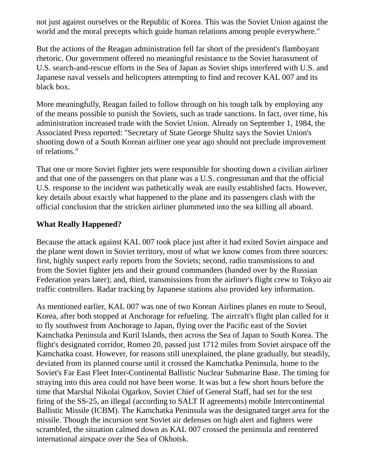not just against ourselves or the Republic of Korea. This was the Soviet Union against the world and the moral precepts which guide human relations among people everywhere."

But the actions of the Reagan administration fell far short of the president's flamboyant rhetoric. Our government offered no meaningful resistance to the Soviet harassment of U.S. search-and-rescue efforts in the Sea of Japan as Soviet ships interfered with U.S. and Japanese naval vessels and helicopters attempting to find and recover KAL 007 and its black box.

More meaningfully, Reagan failed to follow through on his tough talk by employing any of the means possible to punish the Soviets, such as trade sanctions. In fact, over time, his administration increased trade with the Soviet Union. Already on September 1, 1984, the Associated Press reported: "Secretary of State George Shultz says the Soviet Union's shooting down of a South Korean airliner one year ago should not preclude improvement of relations."

That one or more Soviet fighter jets were responsible for shooting down a civilian airliner and that one of the passengers on that plane was a U.S. congressman and that the official U.S. response to the incident was pathetically weak are easily established facts. However, key details about exactly what happened to the plane and its passengers clash with the official conclusion that the stricken airliner plummeted into the sea killing all aboard.

#### **What Really Happened?**

Because the attack against KAL 007 took place just after it had exited Soviet airspace and the plane went down in Soviet territory, most of what we know comes from three sources: first, highly suspect early reports from the Soviets; second, radio transmissions to and from the Soviet fighter jets and their ground commanders (handed over by the Russian Federation years later); and, third, transmissions from the airliner's flight crew to Tokyo air traffic controllers. Radar tracking by Japanese stations also provided key information.

As mentioned earlier, KAL 007 was one of two Korean Airlines planes en route to Seoul, Korea, after both stopped at Anchorage for refueling. The aircraft's flight plan called for it to fly southwest from Anchorage to Japan, flying over the Pacific east of the Soviet Kamchatka Peninsula and Kuril Islands, then across the Sea of Japan to South Korea. The flight's designated corridor, Romeo 20, passed just 1712 miles from Soviet airspace off the Kamchatka coast. However, for reasons still unexplained, the plane gradually, but steadily, deviated from its planned course until it crossed the Kamchatka Peninsula, home to the Soviet's Far East Fleet Inter-Continental Ballistic Nuclear Submarine Base. The timing for straying into this area could not have been worse. It was but a few short hours before the time that Marshal Nikolai Ogarkov, Soviet Chief of General Staff, had set for the test firing of the SS-25, an illegal (according to SALT II agreements) mobile Intercontinental Ballistic Missile (ICBM). The Kamchatka Peninsula was the designated target area for the missile. Though the incursion sent Soviet air defenses on high alert and fighters were scrambled, the situation calmed down as KAL 007 crossed the peninsula and reentered international airspace over the Sea of Okhotsk.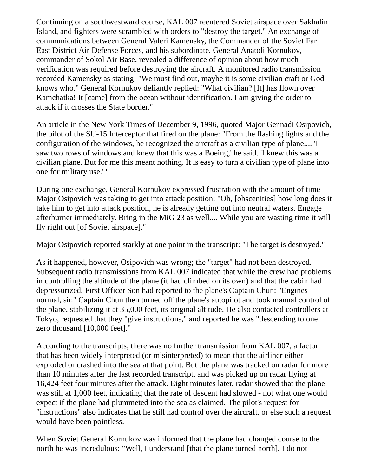Continuing on a southwestward course, KAL 007 reentered Soviet airspace over Sakhalin Island, and fighters were scrambled with orders to "destroy the target." An exchange of communications between General Valeri Kamensky, the Commander of the Soviet Far East District Air Defense Forces, and his subordinate, General Anatoli Kornukov, commander of Sokol Air Base, revealed a difference of opinion about how much verification was required before destroying the aircraft. A monitored radio transmission recorded Kamensky as stating: "We must find out, maybe it is some civilian craft or God knows who." General Kornukov defiantly replied: "What civilian? [It] has flown over Kamchatka! It [came] from the ocean without identification. I am giving the order to attack if it crosses the State border."

An article in the New York Times of December 9, 1996, quoted Major Gennadi Osipovich, the pilot of the SU-15 Interceptor that fired on the plane: "From the flashing lights and the configuration of the windows, he recognized the aircraft as a civilian type of plane.... 'I saw two rows of windows and knew that this was a Boeing,' he said. 'I knew this was a civilian plane. But for me this meant nothing. It is easy to turn a civilian type of plane into one for military use.' "

During one exchange, General Kornukov expressed frustration with the amount of time Major Osipovich was taking to get into attack position: "Oh, [obscenities] how long does it take him to get into attack position, he is already getting out into neutral waters. Engage afterburner immediately. Bring in the MiG 23 as well.... While you are wasting time it will fly right out [of Soviet airspace]."

Major Osipovich reported starkly at one point in the transcript: "The target is destroyed."

As it happened, however, Osipovich was wrong; the "target" had not been destroyed. Subsequent radio transmissions from KAL 007 indicated that while the crew had problems in controlling the altitude of the plane (it had climbed on its own) and that the cabin had depressurized, First Officer Son had reported to the plane's Captain Chun: "Engines normal, sir." Captain Chun then turned off the plane's autopilot and took manual control of the plane, stabilizing it at 35,000 feet, its original altitude. He also contacted controllers at Tokyo, requested that they "give instructions," and reported he was "descending to one zero thousand [10,000 feet]."

According to the transcripts, there was no further transmission from KAL 007, a factor that has been widely interpreted (or misinterpreted) to mean that the airliner either exploded or crashed into the sea at that point. But the plane was tracked on radar for more than 10 minutes after the last recorded transcript, and was picked up on radar flying at 16,424 feet four minutes after the attack. Eight minutes later, radar showed that the plane was still at 1,000 feet, indicating that the rate of descent had slowed - not what one would expect if the plane had plummeted into the sea as claimed. The pilot's request for "instructions" also indicates that he still had control over the aircraft, or else such a request would have been pointless.

When Soviet General Kornukov was informed that the plane had changed course to the north he was incredulous: "Well, I understand [that the plane turned north], I do not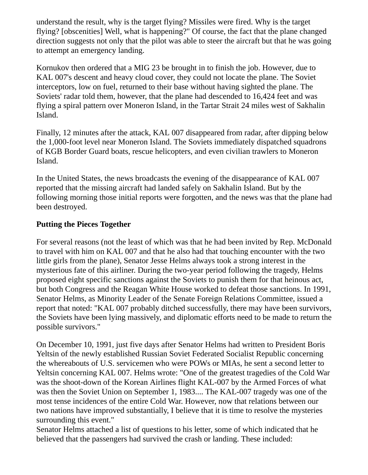understand the result, why is the target flying? Missiles were fired. Why is the target flying? [obscenities] Well, what is happening?" Of course, the fact that the plane changed direction suggests not only that the pilot was able to steer the aircraft but that he was going to attempt an emergency landing.

Kornukov then ordered that a MIG 23 be brought in to finish the job. However, due to KAL 007's descent and heavy cloud cover, they could not locate the plane. The Soviet interceptors, low on fuel, returned to their base without having sighted the plane. The Soviets' radar told them, however, that the plane had descended to 16,424 feet and was flying a spiral pattern over Moneron Island, in the Tartar Strait 24 miles west of Sakhalin Island.

Finally, 12 minutes after the attack, KAL 007 disappeared from radar, after dipping below the 1,000-foot level near Moneron Island. The Soviets immediately dispatched squadrons of KGB Border Guard boats, rescue helicopters, and even civilian trawlers to Moneron Island.

In the United States, the news broadcasts the evening of the disappearance of KAL 007 reported that the missing aircraft had landed safely on Sakhalin Island. But by the following morning those initial reports were forgotten, and the news was that the plane had been destroyed.

## **Putting the Pieces Together**

For several reasons (not the least of which was that he had been invited by Rep. McDonald to travel with him on KAL 007 and that he also had that touching encounter with the two little girls from the plane), Senator Jesse Helms always took a strong interest in the mysterious fate of this airliner. During the two-year period following the tragedy, Helms proposed eight specific sanctions against the Soviets to punish them for that heinous act, but both Congress and the Reagan White House worked to defeat those sanctions. In 1991, Senator Helms, as Minority Leader of the Senate Foreign Relations Committee, issued a report that noted: "KAL 007 probably ditched successfully, there may have been survivors, the Soviets have been lying massively, and diplomatic efforts need to be made to return the possible survivors."

On December 10, 1991, just five days after Senator Helms had written to President Boris Yeltsin of the newly established Russian Soviet Federated Socialist Republic concerning the whereabouts of U.S. servicemen who were POWs or MIAs, he sent a second letter to Yeltsin concerning KAL 007. Helms wrote: "One of the greatest tragedies of the Cold War was the shoot-down of the Korean Airlines flight KAL-007 by the Armed Forces of what was then the Soviet Union on September 1, 1983.... The KAL-007 tragedy was one of the most tense incidences of the entire Cold War. However, now that relations between our two nations have improved substantially, I believe that it is time to resolve the mysteries surrounding this event."

Senator Helms attached a list of questions to his letter, some of which indicated that he believed that the passengers had survived the crash or landing. These included: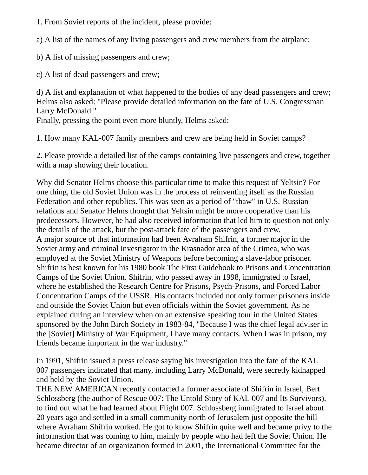1. From Soviet reports of the incident, please provide:

a) A list of the names of any living passengers and crew members from the airplane;

b) A list of missing passengers and crew;

c) A list of dead passengers and crew;

d) A list and explanation of what happened to the bodies of any dead passengers and crew; Helms also asked: "Please provide detailed information on the fate of U.S. Congressman Larry McDonald."

Finally, pressing the point even more bluntly, Helms asked:

1. How many KAL-007 family members and crew are being held in Soviet camps?

2. Please provide a detailed list of the camps containing live passengers and crew, together with a map showing their location.

Why did Senator Helms choose this particular time to make this request of Yeltsin? For one thing, the old Soviet Union was in the process of reinventing itself as the Russian Federation and other republics. This was seen as a period of "thaw" in U.S.-Russian relations and Senator Helms thought that Yeltsin might be more cooperative than his predecessors. However, he had also received information that led him to question not only the details of the attack, but the post-attack fate of the passengers and crew. A major source of that information had been Avraham Shifrin, a former major in the Soviet army and criminal investigator in the Krasnador area of the Crimea, who was employed at the Soviet Ministry of Weapons before becoming a slave-labor prisoner. Shifrin is best known for his 1980 book The First Guidebook to Prisons and Concentration Camps of the Soviet Union. Shifrin, who passed away in 1998, immigrated to Israel, where he established the Research Centre for Prisons, Psych-Prisons, and Forced Labor Concentration Camps of the USSR. His contacts included not only former prisoners inside and outside the Soviet Union but even officials within the Soviet government. As he explained during an interview when on an extensive speaking tour in the United States sponsored by the John Birch Society in 1983-84, "Because I was the chief legal adviser in the [Soviet] Ministry of War Equipment, I have many contacts. When I was in prison, my friends became important in the war industry."

In 1991, Shifrin issued a press release saying his investigation into the fate of the KAL 007 passengers indicated that many, including Larry McDonald, were secretly kidnapped and held by the Soviet Union.

THE NEW AMERICAN recently contacted a former associate of Shifrin in Israel, Bert Schlossberg (the author of Rescue 007: The Untold Story of KAL 007 and Its Survivors), to find out what he had learned about Flight 007. Schlossberg immigrated to Israel about 20 years ago and settled in a small community north of Jerusalem just opposite the hill where Avraham Shifrin worked. He got to know Shifrin quite well and became privy to the information that was coming to him, mainly by people who had left the Soviet Union. He became director of an organization formed in 2001, the International Committee for the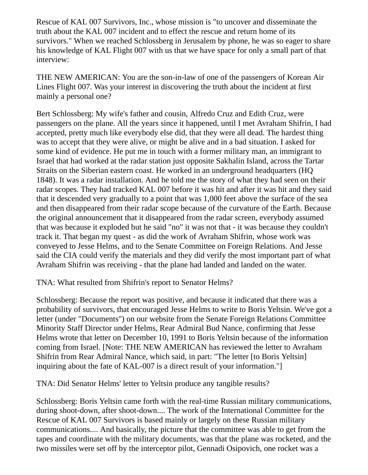Rescue of KAL 007 Survivors, Inc., whose mission is "to uncover and disseminate the truth about the KAL 007 incident and to effect the rescue and return home of its survivors." When we reached Schlossberg in Jerusalem by phone, he was so eager to share his knowledge of KAL Flight 007 with us that we have space for only a small part of that interview:

THE NEW AMERICAN: You are the son-in-law of one of the passengers of Korean Air Lines Flight 007. Was your interest in discovering the truth about the incident at first mainly a personal one?

Bert Schlossberg: My wife's father and cousin, Alfredo Cruz and Edith Cruz, were passengers on the plane. All the years since it happened, until I met Avraham Shifrin, I had accepted, pretty much like everybody else did, that they were all dead. The hardest thing was to accept that they were alive, or might be alive and in a bad situation. I asked for some kind of evidence. He put me in touch with a former military man, an immigrant to Israel that had worked at the radar station just opposite Sakhalin Island, across the Tartar Straits on the Siberian eastern coast. He worked in an underground headquarters (HQ 1848). It was a radar installation. And he told me the story of what they had seen on their radar scopes. They had tracked KAL 007 before it was hit and after it was hit and they said that it descended very gradually to a point that was 1,000 feet above the surface of the sea and then disappeared from their radar scope because of the curvature of the Earth. Because the original announcement that it disappeared from the radar screen, everybody assumed that was because it exploded but he said "no" it was not that - it was because they couldn't track it. That began my quest - as did the work of Avraham Shifrin, whose work was conveyed to Jesse Helms, and to the Senate Committee on Foreign Relations. And Jesse said the CIA could verify the materials and they did verify the most important part of what Avraham Shifrin was receiving - that the plane had landed and landed on the water.

TNA: What resulted from Shifrin's report to Senator Helms?

Schlossberg: Because the report was positive, and because it indicated that there was a probability of survivors, that encouraged Jesse Helms to write to Boris Yeltsin. We've got a letter (under "Documents") on our website from the Senate Foreign Relations Committee Minority Staff Director under Helms, Rear Admiral Bud Nance, confirming that Jesse Helms wrote that letter on December 10, 1991 to Boris Yeltsin because of the information coming from Israel. [Note: THE NEW AMERICAN has reviewed the letter to Avraham Shifrin from Rear Admiral Nance, which said, in part: "The letter [to Boris Yeltsin] inquiring about the fate of KAL-007 is a direct result of your information."]

TNA: Did Senator Helms' letter to Yeltsin produce any tangible results?

Schlossberg: Boris Yeltsin came forth with the real-time Russian military communications, during shoot-down, after shoot-down.... The work of the International Committee for the Rescue of KAL 007 Survivors is based mainly or largely on these Russian military communications.... And basically, the picture that the committee was able to get from the tapes and coordinate with the military documents, was that the plane was rocketed, and the two missiles were set off by the interceptor pilot, Gennadi Osipovich, one rocket was a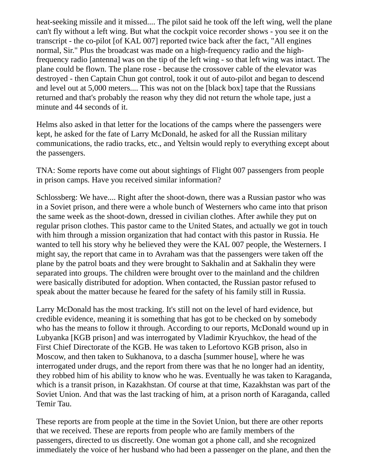heat-seeking missile and it missed.... The pilot said he took off the left wing, well the plane can't fly without a left wing. But what the cockpit voice recorder shows - you see it on the transcript - the co-pilot [of KAL 007] reported twice back after the fact, "All engines normal, Sir." Plus the broadcast was made on a high-frequency radio and the highfrequency radio [antenna] was on the tip of the left wing - so that left wing was intact. The plane could be flown. The plane rose - because the crossover cable of the elevator was destroyed - then Captain Chun got control, took it out of auto-pilot and began to descend and level out at 5,000 meters.... This was not on the [black box] tape that the Russians returned and that's probably the reason why they did not return the whole tape, just a minute and 44 seconds of it.

Helms also asked in that letter for the locations of the camps where the passengers were kept, he asked for the fate of Larry McDonald, he asked for all the Russian military communications, the radio tracks, etc., and Yeltsin would reply to everything except about the passengers.

TNA: Some reports have come out about sightings of Flight 007 passengers from people in prison camps. Have you received similar information?

Schlossberg: We have.... Right after the shoot-down, there was a Russian pastor who was in a Soviet prison, and there were a whole bunch of Westerners who came into that prison the same week as the shoot-down, dressed in civilian clothes. After awhile they put on regular prison clothes. This pastor came to the United States, and actually we got in touch with him through a mission organization that had contact with this pastor in Russia. He wanted to tell his story why he believed they were the KAL 007 people, the Westerners. I might say, the report that came in to Avraham was that the passengers were taken off the plane by the patrol boats and they were brought to Sakhalin and at Sakhalin they were separated into groups. The children were brought over to the mainland and the children were basically distributed for adoption. When contacted, the Russian pastor refused to speak about the matter because he feared for the safety of his family still in Russia.

Larry McDonald has the most tracking. It's still not on the level of hard evidence, but credible evidence, meaning it is something that has got to be checked on by somebody who has the means to follow it through. According to our reports, McDonald wound up in Lubyanka [KGB prison] and was interrogated by Vladimir Kryuchkov, the head of the First Chief Directorate of the KGB. He was taken to Lefortovo KGB prison, also in Moscow, and then taken to Sukhanova, to a dascha [summer house], where he was interrogated under drugs, and the report from there was that he no longer had an identity, they robbed him of his ability to know who he was. Eventually he was taken to Karaganda, which is a transit prison, in Kazakhstan. Of course at that time, Kazakhstan was part of the Soviet Union. And that was the last tracking of him, at a prison north of Karaganda, called Temir Tau.

These reports are from people at the time in the Soviet Union, but there are other reports that we received. These are reports from people who are family members of the passengers, directed to us discreetly. One woman got a phone call, and she recognized immediately the voice of her husband who had been a passenger on the plane, and then the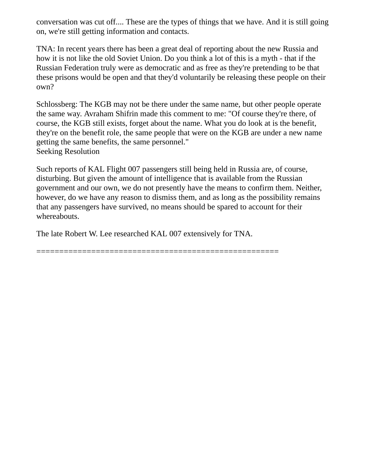conversation was cut off.... These are the types of things that we have. And it is still going on, we're still getting information and contacts.

TNA: In recent years there has been a great deal of reporting about the new Russia and how it is not like the old Soviet Union. Do you think a lot of this is a myth - that if the Russian Federation truly were as democratic and as free as they're pretending to be that these prisons would be open and that they'd voluntarily be releasing these people on their own?

Schlossberg: The KGB may not be there under the same name, but other people operate the same way. Avraham Shifrin made this comment to me: "Of course they're there, of course, the KGB still exists, forget about the name. What you do look at is the benefit, they're on the benefit role, the same people that were on the KGB are under a new name getting the same benefits, the same personnel." Seeking Resolution

Such reports of KAL Flight 007 passengers still being held in Russia are, of course, disturbing. But given the amount of intelligence that is available from the Russian government and our own, we do not presently have the means to confirm them. Neither, however, do we have any reason to dismiss them, and as long as the possibility remains that any passengers have survived, no means should be spared to account for their whereabouts.

The late Robert W. Lee researched KAL 007 extensively for TNA.

=====================================================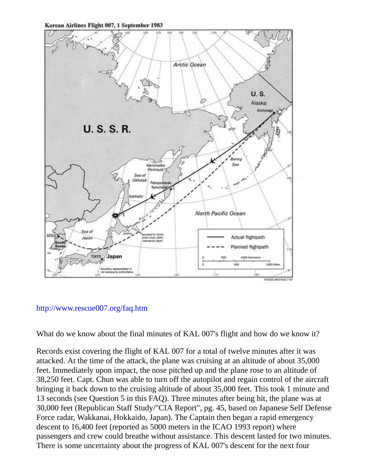Korean Airlines Flight 007, 1 September 1983



## <http://www.rescue007.org/faq.htm>

What do we know about the final minutes of KAL 007's flight and how do we know it?

Records exist covering the flight of KAL 007 for a total of twelve minutes after it was attacked. At the time of the attack, the plane was cruising at an altitude of about 35,000 feet. Immediately upon impact, the nose pitched up and the plane rose to an altitude of 38,250 feet. Capt. Chun was able to turn off the autopilot and regain control of the aircraft bringing it back down to the cruising altitude of about 35,000 feet. This took 1 minute and 13 seconds (see Question 5 in this FAQ). Three minutes after being hit, the plane was at 30,000 feet (Republican Staff Study/"CIA Report", pg. 45, based on Japanese Self Defense Force radar, Wakkanai, Hokkaido, Japan). The Captain then began a rapid emergency descent to 16,400 feet (reported as 5000 meters in the ICAO 1993 report) where passengers and crew could breathe without assistance. This descent lasted for two minutes. There is some uncertainty about the progress of KAL 007's descent for the next four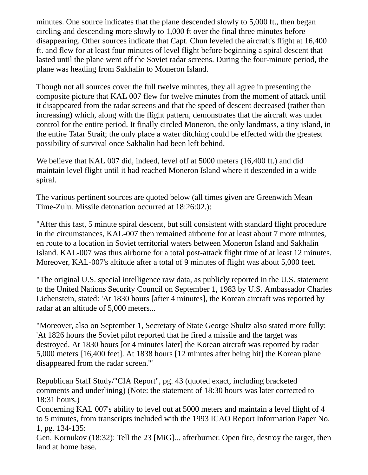minutes. One source indicates that the plane descended slowly to 5,000 ft., then began circling and descending more slowly to 1,000 ft over the final three minutes before disappearing. Other sources indicate that Capt. Chun leveled the aircraft's flight at 16,400 ft. and flew for at least four minutes of level flight before beginning a spiral descent that lasted until the plane went off the Soviet radar screens. During the four-minute period, the plane was heading from Sakhalin to Moneron Island.

Though not all sources cover the full twelve minutes, they all agree in presenting the composite picture that KAL 007 flew for twelve minutes from the moment of attack until it disappeared from the radar screens and that the speed of descent decreased (rather than increasing) which, along with the flight pattern, demonstrates that the aircraft was under control for the entire period. It finally circled Moneron, the only landmass, a tiny island, in the entire Tatar Strait; the only place a water ditching could be effected with the greatest possibility of survival once Sakhalin had been left behind.

We believe that KAL 007 did, indeed, level off at 5000 meters (16,400 ft.) and did maintain level flight until it had reached Moneron Island where it descended in a wide spiral.

The various pertinent sources are quoted below (all times given are Greenwich Mean Time-Zulu. Missile detonation occurred at 18:26:02.):

"After this fast, 5 minute spiral descent, but still consistent with standard flight procedure in the circumstances, KAL-007 then remained airborne for at least about 7 more minutes, en route to a location in Soviet territorial waters between Moneron Island and Sakhalin Island. KAL-007 was thus airborne for a total post-attack flight time of at least 12 minutes. Moreover, KAL-007's altitude after a total of 9 minutes of flight was about 5,000 feet.

"The original U.S. special intelligence raw data, as publicly reported in the U.S. statement to the United Nations Security Council on September 1, 1983 by U.S. Ambassador Charles Lichenstein, stated: 'At 1830 hours [after 4 minutes], the Korean aircraft was reported by radar at an altitude of 5,000 meters...

"Moreover, also on September 1, Secretary of State George Shultz also stated more fully: 'At 1826 hours the Soviet pilot reported that he fired a missile and the target was destroyed. At 1830 hours [or 4 minutes later] the Korean aircraft was reported by radar 5,000 meters [16,400 feet]. At 1838 hours [12 minutes after being hit] the Korean plane disappeared from the radar screen.'"

Republican Staff Study/"CIA Report", pg. 43 (quoted exact, including bracketed comments and underlining) (Note: the statement of 18:30 hours was later corrected to 18:31 hours.)

Concerning KAL 007's ability to level out at 5000 meters and maintain a level flight of 4 to 5 minutes, from transcripts included with the 1993 ICAO Report Information Paper No. 1, pg. 134-135:

Gen. Kornukov (18:32): Tell the 23 [MiG]... afterburner. Open fire, destroy the target, then land at home base.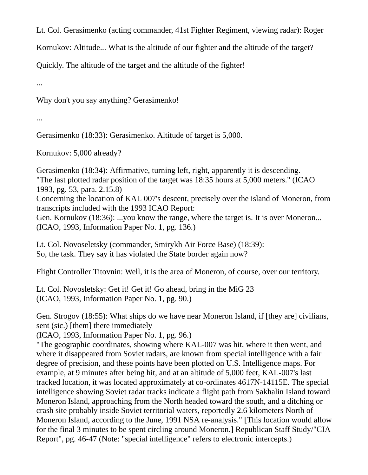Lt. Col. Gerasimenko (acting commander, 41st Fighter Regiment, viewing radar): Roger

Kornukov: Altitude... What is the altitude of our fighter and the altitude of the target?

Quickly. The altitude of the target and the altitude of the fighter!

...

Why don't you say anything? Gerasimenko!

...

Gerasimenko (18:33): Gerasimenko. Altitude of target is 5,000.

Kornukov: 5,000 already?

Gerasimenko (18:34): Affirmative, turning left, right, apparently it is descending. "The last plotted radar position of the target was 18:35 hours at 5,000 meters." (ICAO 1993, pg. 53, para. 2.15.8) Concerning the location of KAL 007's descent, precisely over the island of Moneron, from transcripts included with the 1993 ICAO Report: Gen. Kornukov (18:36): ...you know the range, where the target is. It is over Moneron... (ICAO, 1993, Information Paper No. 1, pg. 136.)

Lt. Col. Novoseletsky (commander, Smirykh Air Force Base) (18:39): So, the task. They say it has violated the State border again now?

Flight Controller Titovnin: Well, it is the area of Moneron, of course, over our territory.

Lt. Col. Novosletsky: Get it! Get it! Go ahead, bring in the MiG 23 (ICAO, 1993, Information Paper No. 1, pg. 90.)

Gen. Strogov (18:55): What ships do we have near Moneron Island, if [they are] civilians, sent (sic.) [them] there immediately

(ICAO, 1993, Information Paper No. 1, pg. 96.)

"The geographic coordinates, showing where KAL-007 was hit, where it then went, and where it disappeared from Soviet radars, are known from special intelligence with a fair degree of precision, and these points have been plotted on U.S. Intelligence maps. For example, at 9 minutes after being hit, and at an altitude of 5,000 feet, KAL-007's last tracked location, it was located approximately at co-ordinates 4617N-14115E. The special intelligence showing Soviet radar tracks indicate a flight path from Sakhalin Island toward Moneron Island, approaching from the North headed toward the south, and a ditching or crash site probably inside Soviet territorial waters, reportedly 2.6 kilometers North of Moneron Island, according to the June, 1991 NSA re-analysis." [This location would allow for the final 3 minutes to be spent circling around Moneron.] Republican Staff Study/"CIA Report", pg. 46-47 (Note: "special intelligence" refers to electronic intercepts.)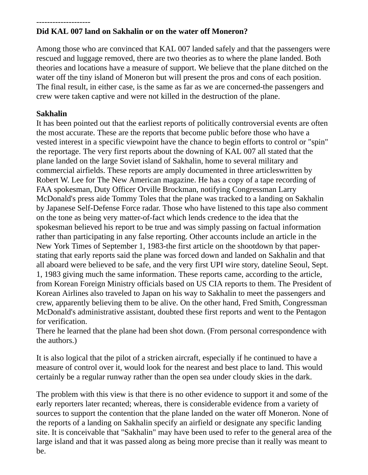#### -------------------- **Did KAL 007 land on Sakhalin or on the water off Moneron?**

Among those who are convinced that KAL 007 landed safely and that the passengers were rescued and luggage removed, there are two theories as to where the plane landed. Both theories and locations have a measure of support. We believe that the plane ditched on the water off the tiny island of Moneron but will present the pros and cons of each position. The final result, in either case, is the same as far as we are concerned-the passengers and crew were taken captive and were not killed in the destruction of the plane.

# **Sakhalin**

It has been pointed out that the earliest reports of politically controversial events are often the most accurate. These are the reports that become public before those who have a vested interest in a specific viewpoint have the chance to begin efforts to control or "spin" the reportage. The very first reports about the downing of KAL 007 all stated that the plane landed on the large Soviet island of Sakhalin, home to several military and commercial airfields. These reports are amply documented in three articleswritten by Robert W. Lee for The New American magazine. He has a copy of a tape recording of FAA spokesman, Duty Officer Orville Brockman, notifying Congressman Larry McDonald's press aide Tommy Toles that the plane was tracked to a landing on Sakhalin by Japanese Self-Defense Force radar. Those who have listened to this tape also comment on the tone as being very matter-of-fact which lends credence to the idea that the spokesman believed his report to be true and was simply passing on factual information rather than participating in any false reporting. Other accounts include an article in the New York Times of September 1, 1983-the first article on the shootdown by that paperstating that early reports said the plane was forced down and landed on Sakhalin and that all aboard were believed to be safe, and the very first UPI wire story, dateline Seoul, Sept. 1, 1983 giving much the same information. These reports came, according to the article, from Korean Foreign Ministry officials based on US CIA reports to them. The President of Korean Airlines also traveled to Japan on his way to Sakhalin to meet the passengers and crew, apparently believing them to be alive. On the other hand, Fred Smith, Congressman McDonald's administrative assistant, doubted these first reports and went to the Pentagon for verification.

There he learned that the plane had been shot down. (From personal correspondence with the authors.)

It is also logical that the pilot of a stricken aircraft, especially if he continued to have a measure of control over it, would look for the nearest and best place to land. This would certainly be a regular runway rather than the open sea under cloudy skies in the dark.

The problem with this view is that there is no other evidence to support it and some of the early reporters later recanted; whereas, there is considerable evidence from a variety of sources to support the contention that the plane landed on the water off Moneron. None of the reports of a landing on Sakhalin specify an airfield or designate any specific landing site. It is conceivable that "Sakhalin" may have been used to refer to the general area of the large island and that it was passed along as being more precise than it really was meant to be.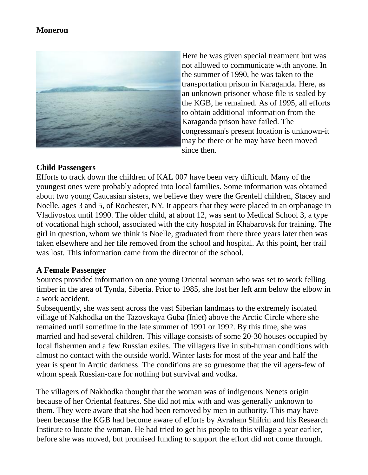#### **Moneron**



Here he was given special treatment but was not allowed to communicate with anyone. In the summer of 1990, he was taken to the transportation prison in Karaganda. Here, as an unknown prisoner whose file is sealed by the KGB, he remained. As of 1995, all efforts to obtain additional information from the Karaganda prison have failed. The congressman's present location is unknown-it may be there or he may have been moved since then.

#### **Child Passengers**

Efforts to track down the children of KAL 007 have been very difficult. Many of the youngest ones were probably adopted into local families. Some information was obtained about two young Caucasian sisters, we believe they were the Grenfell children, Stacey and Noelle, ages 3 and 5, of Rochester, NY. It appears that they were placed in an orphanage in Vladivostok until 1990. The older child, at about 12, was sent to Medical School 3, a type of vocational high school, associated with the city hospital in Khabarovsk for training. The girl in question, whom we think is Noelle, graduated from there three years later then was taken elsewhere and her file removed from the school and hospital. At this point, her trail was lost. This information came from the director of the school.

#### **A Female Passenger**

Sources provided information on one young Oriental woman who was set to work felling timber in the area of Tynda, Siberia. Prior to 1985, she lost her left arm below the elbow in a work accident.

Subsequently, she was sent across the vast Siberian landmass to the extremely isolated village of Nakhodka on the Tazovskaya Guba (Inlet) above the Arctic Circle where she remained until sometime in the late summer of 1991 or 1992. By this time, she was married and had several children. This village consists of some 20-30 houses occupied by local fishermen and a few Russian exiles. The villagers live in sub-human conditions with almost no contact with the outside world. Winter lasts for most of the year and half the year is spent in Arctic darkness. The conditions are so gruesome that the villagers-few of whom speak Russian-care for nothing but survival and vodka.

The villagers of Nakhodka thought that the woman was of indigenous Nenets origin because of her Oriental features. She did not mix with and was generally unknown to them. They were aware that she had been removed by men in authority. This may have been because the KGB had become aware of efforts by Avraham Shifrin and his Research Institute to locate the woman. He had tried to get his people to this village a year earlier, before she was moved, but promised funding to support the effort did not come through.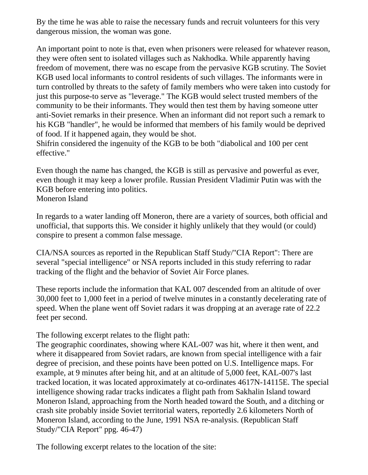By the time he was able to raise the necessary funds and recruit volunteers for this very dangerous mission, the woman was gone.

An important point to note is that, even when prisoners were released for whatever reason, they were often sent to isolated villages such as Nakhodka. While apparently having freedom of movement, there was no escape from the pervasive KGB scrutiny. The Soviet KGB used local informants to control residents of such villages. The informants were in turn controlled by threats to the safety of family members who were taken into custody for just this purpose-to serve as "leverage." The KGB would select trusted members of the community to be their informants. They would then test them by having someone utter anti-Soviet remarks in their presence. When an informant did not report such a remark to his KGB "handler", he would be informed that members of his family would be deprived of food. If it happened again, they would be shot.

Shifrin considered the ingenuity of the KGB to be both "diabolical and 100 per cent effective."

Even though the name has changed, the KGB is still as pervasive and powerful as ever, even though it may keep a lower profile. Russian President Vladimir Putin was with the KGB before entering into politics. Moneron Island

In regards to a water landing off Moneron, there are a variety of sources, both official and unofficial, that supports this. We consider it highly unlikely that they would (or could) conspire to present a common false message.

CIA/NSA sources as reported in the Republican Staff Study/"CIA Report": There are several "special intelligence" or NSA reports included in this study referring to radar tracking of the flight and the behavior of Soviet Air Force planes.

These reports include the information that KAL 007 descended from an altitude of over 30,000 feet to 1,000 feet in a period of twelve minutes in a constantly decelerating rate of speed. When the plane went off Soviet radars it was dropping at an average rate of 22.2 feet per second.

The following excerpt relates to the flight path:

The geographic coordinates, showing where KAL-007 was hit, where it then went, and where it disappeared from Soviet radars, are known from special intelligence with a fair degree of precision, and these points have been potted on U.S. Intelligence maps. For example, at 9 minutes after being hit, and at an altitude of 5,000 feet, KAL-007's last tracked location, it was located approximately at co-ordinates 4617N-14115E. The special intelligence showing radar tracks indicates a flight path from Sakhalin Island toward Moneron Island, approaching from the North headed toward the South, and a ditching or crash site probably inside Soviet territorial waters, reportedly 2.6 kilometers North of Moneron Island, according to the June, 1991 NSA re-analysis. (Republican Staff Study/"CIA Report" ppg. 46-47)

The following excerpt relates to the location of the site: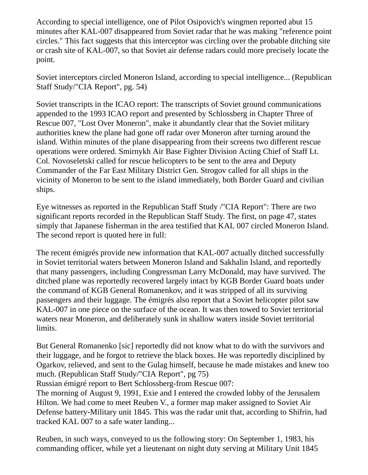According to special intelligence, one of Pilot Osipovich's wingmen reported abut 15 minutes after KAL-007 disappeared from Soviet radar that he was making "reference point circles." This fact suggests that this interceptor was circling over the probable ditching site or crash site of KAL-007, so that Soviet air defense radars could more precisely locate the point.

Soviet interceptors circled Moneron Island, according to special intelligence... (Republican Staff Study/"CIA Report", pg. 54)

Soviet transcripts in the ICAO report: The transcripts of Soviet ground communications appended to the 1993 ICAO report and presented by Schlossberg in Chapter Three of Rescue 007, "Lost Over Moneron", make it abundantly clear that the Soviet military authorities knew the plane had gone off radar over Moneron after turning around the island. Within minutes of the plane disappearing from their screens two different rescue operations were ordered. Smirnykh Air Base Fighter Division Acting Chief of Staff Lt. Col. Novoseletski called for rescue helicopters to be sent to the area and Deputy Commander of the Far East Military District Gen. Strogov called for all ships in the vicinity of Moneron to be sent to the island immediately, both Border Guard and civilian ships.

Eye witnesses as reported in the Republican Staff Study /"CIA Report": There are two significant reports recorded in the Republican Staff Study. The first, on page 47, states simply that Japanese fisherman in the area testified that KAL 007 circled Moneron Island. The second report is quoted here in full:

The recent émigrés provide new information that KAL-007 actually ditched successfully in Soviet territorial waters between Moneron Island and Sakhalin Island, and reportedly that many passengers, including Congressman Larry McDonald, may have survived. The ditched plane was reportedly recovered largely intact by KGB Border Guard boats under the command of KGB General Romanenkov, and it was stripped of all its surviving passengers and their luggage. The émigrés also report that a Soviet helicopter pilot saw KAL-007 in one piece on the surface of the ocean. It was then towed to Soviet territorial waters near Moneron, and deliberately sunk in shallow waters inside Soviet territorial limits.

But General Romanenko [sic] reportedly did not know what to do with the survivors and their luggage, and he forgot to retrieve the black boxes. He was reportedly disciplined by Ogarkov, relieved, and sent to the Gulag himself, because he made mistakes and knew too much. (Republican Staff Study/"CIA Report", pg 75)

Russian émigré report to Bert Schlossberg-from Rescue 007:

The morning of August 9, 1991, Exie and I entered the crowded lobby of the Jerusalem Hilton. We had come to meet Reuben V., a former map maker assigned to Soviet Air Defense battery-Military unit 1845. This was the radar unit that, according to Shifrin, had tracked KAL 007 to a safe water landing...

Reuben, in such ways, conveyed to us the following story: On September 1, 1983, his commanding officer, while yet a lieutenant on night duty serving at Military Unit 1845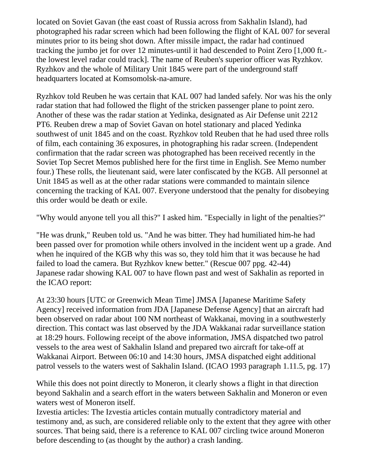located on Soviet Gavan (the east coast of Russia across from Sakhalin Island), had photographed his radar screen which had been following the flight of KAL 007 for several minutes prior to its being shot down. After missile impact, the radar had continued tracking the jumbo jet for over 12 minutes-until it had descended to Point Zero [1,000 ft. the lowest level radar could track]. The name of Reuben's superior officer was Ryzhkov. Ryzhkov and the whole of Military Unit 1845 were part of the underground staff headquarters located at Komsomolsk-na-amure.

Ryzhkov told Reuben he was certain that KAL 007 had landed safely. Nor was his the only radar station that had followed the flight of the stricken passenger plane to point zero. Another of these was the radar station at Yedinka, designated as Air Defense unit 2212 PT6. Reuben drew a map of Soviet Gavan on hotel stationary and placed Yedinka southwest of unit 1845 and on the coast. Ryzhkov told Reuben that he had used three rolls of film, each containing 36 exposures, in photographing his radar screen. (Independent confirmation that the radar screen was photographed has been received recently in the Soviet Top Secret Memos published here for the first time in English. See Memo number four.) These rolls, the lieutenant said, were later confiscated by the KGB. All personnel at Unit 1845 as well as at the other radar stations were commanded to maintain silence concerning the tracking of KAL 007. Everyone understood that the penalty for disobeying this order would be death or exile.

"Why would anyone tell you all this?" I asked him. "Especially in light of the penalties?"

"He was drunk," Reuben told us. "And he was bitter. They had humiliated him-he had been passed over for promotion while others involved in the incident went up a grade. And when he inquired of the KGB why this was so, they told him that it was because he had failed to load the camera. But Ryzhkov knew better." (Rescue 007 ppg. 42-44) Japanese radar showing KAL 007 to have flown past and west of Sakhalin as reported in the ICAO report:

At 23:30 hours [UTC or Greenwich Mean Time] JMSA [Japanese Maritime Safety Agency] received information from JDA [Japanese Defense Agency] that an aircraft had been observed on radar about 100 NM northeast of Wakkanai, moving in a southwesterly direction. This contact was last observed by the JDA Wakkanai radar surveillance station at 18:29 hours. Following receipt of the above information, JMSA dispatched two patrol vessels to the area west of Sakhalin Island and prepared two aircraft for take-off at Wakkanai Airport. Between 06:10 and 14:30 hours, JMSA dispatched eight additional patrol vessels to the waters west of Sakhalin Island. (ICAO 1993 paragraph 1.11.5, pg. 17)

While this does not point directly to Moneron, it clearly shows a flight in that direction beyond Sakhalin and a search effort in the waters between Sakhalin and Moneron or even waters west of Moneron itself.

Izvestia articles: The Izvestia articles contain mutually contradictory material and testimony and, as such, are considered reliable only to the extent that they agree with other sources. That being said, there is a reference to KAL 007 circling twice around Moneron before descending to (as thought by the author) a crash landing.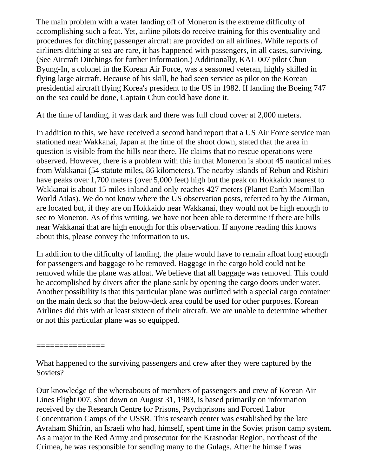The main problem with a water landing off of Moneron is the extreme difficulty of accomplishing such a feat. Yet, airline pilots do receive training for this eventuality and procedures for ditching passenger aircraft are provided on all airlines. While reports of airliners ditching at sea are rare, it has happened with passengers, in all cases, surviving. (See Aircraft Ditchings for further information.) Additionally, KAL 007 pilot Chun Byung-In, a colonel in the Korean Air Force, was a seasoned veteran, highly skilled in flying large aircraft. Because of his skill, he had seen service as pilot on the Korean presidential aircraft flying Korea's president to the US in 1982. If landing the Boeing 747 on the sea could be done, Captain Chun could have done it.

At the time of landing, it was dark and there was full cloud cover at 2,000 meters.

In addition to this, we have received a second hand report that a US Air Force service man stationed near Wakkanai, Japan at the time of the shoot down, stated that the area in question is visible from the hills near there. He claims that no rescue operations were observed. However, there is a problem with this in that Moneron is about 45 nautical miles from Wakkanai (54 statute miles, 86 kilometers). The nearby islands of Rebun and Rishiri have peaks over 1,700 meters (over 5,000 feet) high but the peak on Hokkaido nearest to Wakkanai is about 15 miles inland and only reaches 427 meters (Planet Earth Macmillan World Atlas). We do not know where the US observation posts, referred to by the Airman, are located but, if they are on Hokkaido near Wakkanai, they would not be high enough to see to Moneron. As of this writing, we have not been able to determine if there are hills near Wakkanai that are high enough for this observation. If anyone reading this knows about this, please convey the information to us.

In addition to the difficulty of landing, the plane would have to remain afloat long enough for passengers and baggage to be removed. Baggage in the cargo hold could not be removed while the plane was afloat. We believe that all baggage was removed. This could be accomplished by divers after the plane sank by opening the cargo doors under water. Another possibility is that this particular plane was outfitted with a special cargo container on the main deck so that the below-deck area could be used for other purposes. Korean Airlines did this with at least sixteen of their aircraft. We are unable to determine whether or not this particular plane was so equipped.

===============

What happened to the surviving passengers and crew after they were captured by the Soviets?

Our knowledge of the whereabouts of members of passengers and crew of Korean Air Lines Flight 007, shot down on August 31, 1983, is based primarily on information received by the Research Centre for Prisons, Psychprisons and Forced Labor Concentration Camps of the USSR. This research center was established by the late Avraham Shifrin, an Israeli who had, himself, spent time in the Soviet prison camp system. As a major in the Red Army and prosecutor for the Krasnodar Region, northeast of the Crimea, he was responsible for sending many to the Gulags. After he himself was